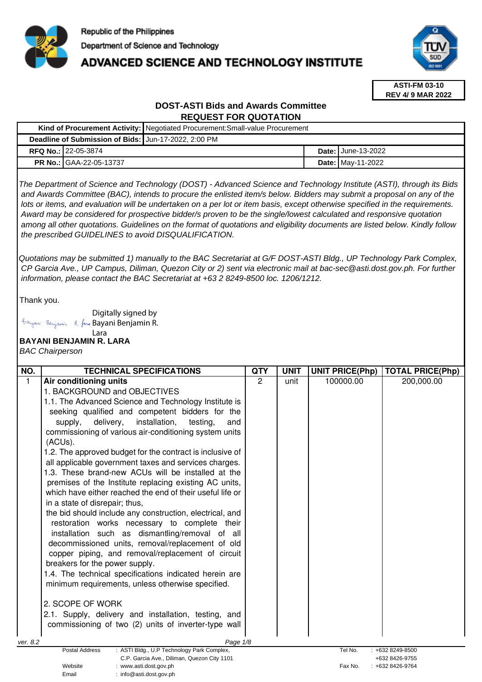

# **ADVANCED SCIENCE AND TECHNOLOGY INSTITUTE**



**ASTI-FM 03-10 REV 4/ 9 MAR 2022**

# **DOST-ASTI Bids and Awards Committee REQUEST FOR QUOTATION**

|                                                      | Kind of Procurement Activity:   Negotiated Procurement: Small-value Procurement |                             |
|------------------------------------------------------|---------------------------------------------------------------------------------|-----------------------------|
| Deadline of Submission of Bids: Jun-17-2022, 2:00 PM |                                                                                 |                             |
| <b>RFQ No.: 22-05-3874</b>                           |                                                                                 | <b>Date: I</b> June-13-2022 |
| <b>PR No.: GAA-22-05-13737</b>                       |                                                                                 | <b>Date: May-11-2022</b>    |

The Department of Science and Technology (DOST) - Advanced Science and Technology Institute (ASTI), through its Bids and Awards Committee (BAC), intends to procure the enlisted item/s below. Bidders may submit a proposal on any of the lots or items, and evaluation will be undertaken on a per lot or item basis, except otherwise specified in the requirements. Award may be considered for prospective bidder/s proven to be the single/lowest calculated and responsive quotation among all other quotations. Guidelines on the format of quotations and eligibility documents are listed below. Kindly follow the prescribed GUIDELINES to avoid DISQUALIFICATION.

Quotations may be submitted 1) manually to the BAC Secretariat at G/F DOST-ASTI Bldg., UP Technology Park Complex, CP Garcia Ave., UP Campus, Diliman, Quezon City or 2) sent via electronic mail at bac-sec@asti.dost.gov.ph. For further information, please contact the BAC Secretariat at +63 2 8249-8500 loc. 1206/1212.

Thank you.

Digitally signed by Bayani Benjamin R. faux Bayani Benjamin R.

## Lara

# **BAYANI BENJAMIN R. LARA**

BAC Chairperson

| NO.          | <b>TECHNICAL SPECIFICATIONS</b>                                                                                    | <b>QTY</b>     | <b>UNIT</b> | <b>UNIT PRICE(Php)</b> | <b>TOTAL PRICE(Php)</b>               |
|--------------|--------------------------------------------------------------------------------------------------------------------|----------------|-------------|------------------------|---------------------------------------|
| $\mathbf{1}$ | Air conditioning units                                                                                             | $\overline{2}$ | unit        | 100000.00              | 200,000.00                            |
|              | 1. BACKGROUND and OBJECTIVES                                                                                       |                |             |                        |                                       |
|              | 1.1. The Advanced Science and Technology Institute is                                                              |                |             |                        |                                       |
|              | seeking qualified and competent bidders for the                                                                    |                |             |                        |                                       |
|              | delivery,<br>installation, testing,<br>supply,<br>and                                                              |                |             |                        |                                       |
|              | commissioning of various air-conditioning system units                                                             |                |             |                        |                                       |
|              | (ACUs).                                                                                                            |                |             |                        |                                       |
|              | 1.2. The approved budget for the contract is inclusive of                                                          |                |             |                        |                                       |
|              | all applicable government taxes and services charges.                                                              |                |             |                        |                                       |
|              | 1.3. These brand-new ACUs will be installed at the                                                                 |                |             |                        |                                       |
|              | premises of the Institute replacing existing AC units,                                                             |                |             |                        |                                       |
|              | which have either reached the end of their useful life or                                                          |                |             |                        |                                       |
|              | in a state of disrepair; thus,                                                                                     |                |             |                        |                                       |
|              | the bid should include any construction, electrical, and                                                           |                |             |                        |                                       |
|              | restoration works necessary to complete their                                                                      |                |             |                        |                                       |
|              | installation such as dismantling/removal of all                                                                    |                |             |                        |                                       |
|              | decommissioned units, removal/replacement of old                                                                   |                |             |                        |                                       |
|              | copper piping, and removal/replacement of circuit                                                                  |                |             |                        |                                       |
|              | breakers for the power supply.                                                                                     |                |             |                        |                                       |
|              | 1.4. The technical specifications indicated herein are                                                             |                |             |                        |                                       |
|              | minimum requirements, unless otherwise specified.                                                                  |                |             |                        |                                       |
|              |                                                                                                                    |                |             |                        |                                       |
|              | 2. SCOPE OF WORK                                                                                                   |                |             |                        |                                       |
|              | 2.1. Supply, delivery and installation, testing, and                                                               |                |             |                        |                                       |
|              | commissioning of two (2) units of inverter-type wall                                                               |                |             |                        |                                       |
|              |                                                                                                                    |                |             |                        |                                       |
| ver. 8.2     | Page 1/8                                                                                                           |                |             |                        |                                       |
|              | : ASTI Bldg., U.P Technology Park Complex,<br><b>Postal Address</b><br>C.P. Garcia Ave., Diliman, Quezon City 1101 |                |             | Tel No.                | $: +6328249 - 8500$<br>+632 8426-9755 |
|              | Website<br>: www.asti.dost.gov.ph                                                                                  |                |             | Fax No.                | +632 8426-9764                        |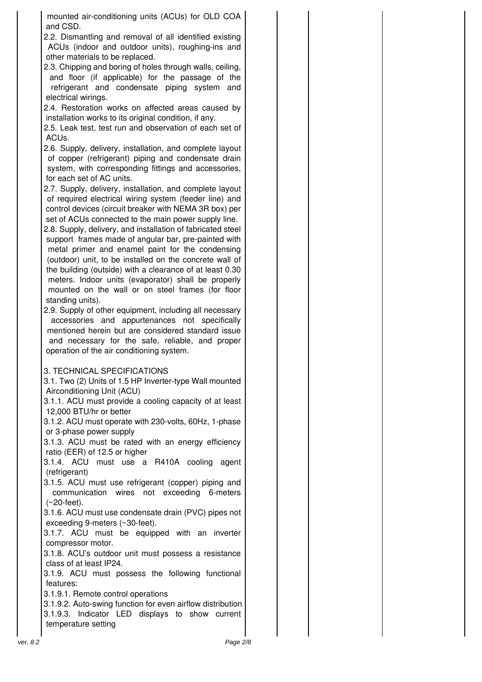mounted air-conditioning units (ACUs) for OLD COA and CSD.

2.2. Dismantling and removal of all identified existing ACUs (indoor and outdoor units), roughing-ins and other materials to be replaced.

2.3. Chipping and boring of holes through walls, ceiling, and floor (if applicable) for the passage of the refrigerant and condensate piping system and electrical wirings.

2.4. Restoration works on affected areas caused by installation works to its original condition, if any.

2.5. Leak test, test run and observation of each set of ACUs.

2.6. Supply, delivery, installation, and complete layout of copper (refrigerant) piping and condensate drain system, with corresponding fittings and accessories, for each set of AC units.

2.7. Supply, delivery, installation, and complete layout of required electrical wiring system (feeder line) and control devices (circuit breaker with NEMA 3R box) per set of ACUs connected to the main power supply line.

2.8. Supply, delivery, and installation of fabricated steel support frames made of angular bar, pre-painted with metal primer and enamel paint for the condensing (outdoor) unit, to be installed on the concrete wall of the building (outside) with a clearance of at least 0.30 meters. Indoor units (evaporator) shall be properly mounted on the wall or on steel frames (for floor standing units).

2.9. Supply of other equipment, including all necessary accessories and appurtenances not specifically mentioned herein but are considered standard issue and necessary for the safe, reliable, and proper operation of the air conditioning system.

### 3. TECHNICAL SPECIFICATIONS

3.1. Two (2) Units of 1.5 HP Inverter-type Wall mounted Airconditioning Unit (ACU)

3.1.1. ACU must provide a cooling capacity of at least 12,000 BTU/hr or better

3.1.2. ACU must operate with 230-volts, 60Hz, 1-phase or 3-phase power supply

3.1.3. ACU must be rated with an energy efficiency ratio (EER) of 12.5 or higher

3.1.4. ACU must use a R410A cooling agent (refrigerant)

3.1.5. ACU must use refrigerant (copper) piping and communication wires not exceeding 6-meters (~20-feet).

3.1.6. ACU must use condensate drain (PVC) pipes not exceeding 9-meters (~30-feet).

3.1.7. ACU must be equipped with an inverter compressor motor.

3.1.8. ACU's outdoor unit must possess a resistance class of at least IP24.

3.1.9. ACU must possess the following functional features:

3.1.9.1. Remote control operations

3.1.9.2. Auto-swing function for even airflow distribution 3.1.9.3. Indicator LED displays to show current temperature setting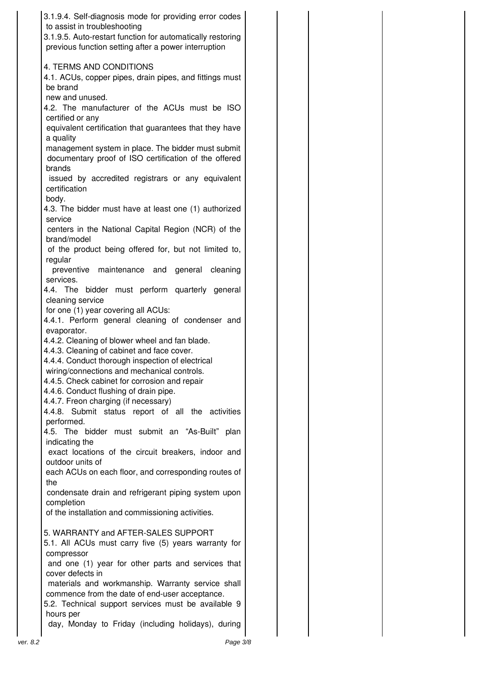| 3.1.9.4. Self-diagnosis mode for providing error codes<br>to assist in troubleshooting<br>3.1.9.5. Auto-restart function for automatically restoring<br>previous function setting after a power interruption |  |
|--------------------------------------------------------------------------------------------------------------------------------------------------------------------------------------------------------------|--|
| 4. TERMS AND CONDITIONS<br>4.1. ACUs, copper pipes, drain pipes, and fittings must                                                                                                                           |  |
| be brand<br>new and unused.<br>4.2. The manufacturer of the ACUs must be ISO<br>certified or any                                                                                                             |  |
| equivalent certification that guarantees that they have<br>a quality                                                                                                                                         |  |
| management system in place. The bidder must submit<br>documentary proof of ISO certification of the offered<br>brands                                                                                        |  |
| issued by accredited registrars or any equivalent<br>certification                                                                                                                                           |  |
| body.<br>4.3. The bidder must have at least one (1) authorized<br>service                                                                                                                                    |  |
| centers in the National Capital Region (NCR) of the<br>brand/model                                                                                                                                           |  |
| of the product being offered for, but not limited to,<br>regular<br>preventive maintenance and<br>general cleaning                                                                                           |  |
| services.<br>4.4. The bidder must perform quarterly general                                                                                                                                                  |  |
| cleaning service<br>for one (1) year covering all ACUs:                                                                                                                                                      |  |
| 4.4.1. Perform general cleaning of condenser and<br>evaporator.<br>4.4.2. Cleaning of blower wheel and fan blade.                                                                                            |  |
| 4.4.3. Cleaning of cabinet and face cover.<br>4.4.4. Conduct thorough inspection of electrical<br>wiring/connections and mechanical controls                                                                 |  |
| 4.4.5. Check cabinet for corrosion and repair<br>4.4.6. Conduct flushing of drain pipe.                                                                                                                      |  |
| 4.4.7. Freon charging (if necessary)<br>4.4.8. Submit status report of all the activities<br>performed.                                                                                                      |  |
| 4.5. The bidder must submit an "As-Built" plan<br>indicating the                                                                                                                                             |  |
| exact locations of the circuit breakers, indoor and<br>outdoor units of<br>each ACUs on each floor, and corresponding routes of                                                                              |  |
| the<br>condensate drain and refrigerant piping system upon                                                                                                                                                   |  |
| completion<br>of the installation and commissioning activities.                                                                                                                                              |  |
| 5. WARRANTY and AFTER-SALES SUPPORT<br>5.1. All ACUs must carry five (5) years warranty for<br>compressor                                                                                                    |  |
| and one (1) year for other parts and services that<br>cover defects in                                                                                                                                       |  |
| materials and workmanship. Warranty service shall<br>commence from the date of end-user acceptance.<br>5.2. Technical support services must be available 9                                                   |  |
| hours per<br>day, Monday to Friday (including holidays), during                                                                                                                                              |  |
| Page 3/8<br>ver. 8.2                                                                                                                                                                                         |  |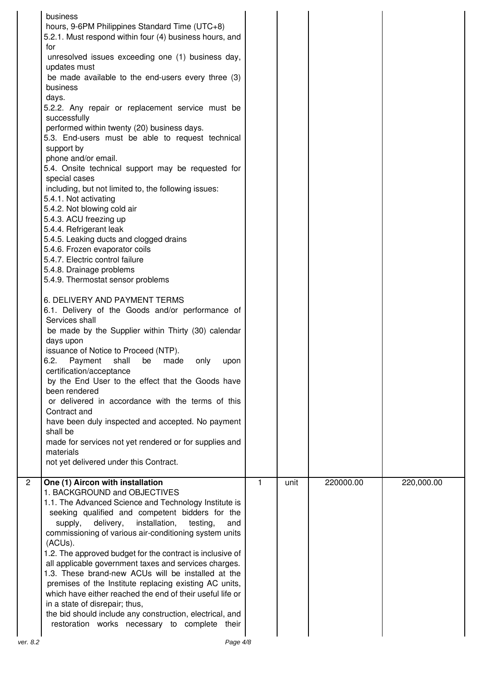|                | business<br>hours, 9-6PM Philippines Standard Time (UTC+8)<br>5.2.1. Must respond within four (4) business hours, and<br>for<br>unresolved issues exceeding one (1) business day,<br>updates must<br>be made available to the end-users every three (3)<br>business<br>days.<br>5.2.2. Any repair or replacement service must be<br>successfully<br>performed within twenty (20) business days.<br>5.3. End-users must be able to request technical<br>support by<br>phone and/or email.<br>5.4. Onsite technical support may be requested for<br>special cases<br>including, but not limited to, the following issues:<br>5.4.1. Not activating<br>5.4.2. Not blowing cold air<br>5.4.3. ACU freezing up<br>5.4.4. Refrigerant leak<br>5.4.5. Leaking ducts and clogged drains<br>5.4.6. Frozen evaporator coils<br>5.4.7. Electric control failure<br>5.4.8. Drainage problems<br>5.4.9. Thermostat sensor problems<br>6. DELIVERY AND PAYMENT TERMS<br>6.1. Delivery of the Goods and/or performance of<br>Services shall<br>be made by the Supplier within Thirty (30) calendar<br>days upon<br>issuance of Notice to Proceed (NTP).<br>6.2.<br>shall<br>Payment<br>be<br>made<br>only<br>upon<br>certification/acceptance<br>by the End User to the effect that the Goods have<br>been rendered<br>or delivered in accordance with the terms of this<br>Contract and<br>have been duly inspected and accepted. No payment<br>shall be<br>made for services not yet rendered or for supplies and<br>materials<br>not yet delivered under this Contract. |              |      |           |            |
|----------------|-------------------------------------------------------------------------------------------------------------------------------------------------------------------------------------------------------------------------------------------------------------------------------------------------------------------------------------------------------------------------------------------------------------------------------------------------------------------------------------------------------------------------------------------------------------------------------------------------------------------------------------------------------------------------------------------------------------------------------------------------------------------------------------------------------------------------------------------------------------------------------------------------------------------------------------------------------------------------------------------------------------------------------------------------------------------------------------------------------------------------------------------------------------------------------------------------------------------------------------------------------------------------------------------------------------------------------------------------------------------------------------------------------------------------------------------------------------------------------------------------------------------------------------------------------------|--------------|------|-----------|------------|
| $\overline{2}$ | One (1) Aircon with installation<br>1. BACKGROUND and OBJECTIVES<br>1.1. The Advanced Science and Technology Institute is<br>seeking qualified and competent bidders for the<br>delivery,<br>installation,<br>supply,<br>testing,<br>and<br>commissioning of various air-conditioning system units<br>(ACUs).<br>1.2. The approved budget for the contract is inclusive of<br>all applicable government taxes and services charges.<br>1.3. These brand-new ACUs will be installed at the<br>premises of the Institute replacing existing AC units,<br>which have either reached the end of their useful life or<br>in a state of disrepair; thus,<br>the bid should include any construction, electrical, and<br>restoration works necessary to complete their                                                                                                                                                                                                                                                                                                                                                                                                                                                                                                                                                                                                                                                                                                                                                                                             | $\mathbf{1}$ | unit | 220000.00 | 220,000.00 |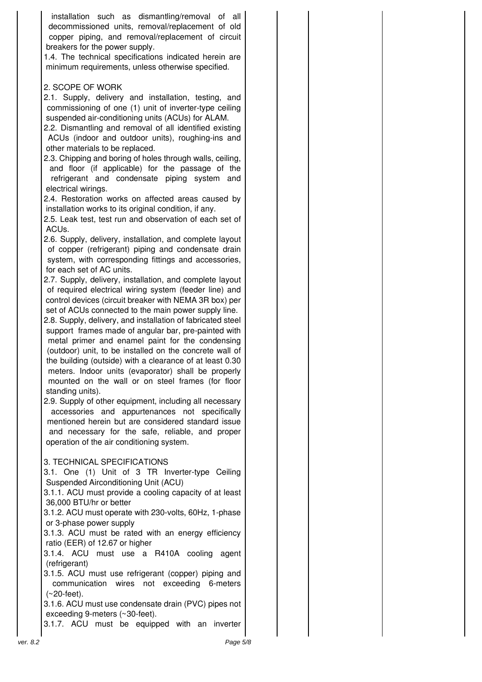installation such as dismantling/removal of all decommissioned units, removal/replacement of old copper piping, and removal/replacement of circuit breakers for the power supply.

1.4. The technical specifications indicated herein are minimum requirements, unless otherwise specified.

### 2. SCOPE OF WORK

2.1. Supply, delivery and installation, testing, and commissioning of one (1) unit of inverter-type ceiling suspended air-conditioning units (ACUs) for ALAM.

2.2. Dismantling and removal of all identified existing ACUs (indoor and outdoor units), roughing-ins and other materials to be replaced.

2.3. Chipping and boring of holes through walls, ceiling, and floor (if applicable) for the passage of the refrigerant and condensate piping system and electrical wirings.

2.4. Restoration works on affected areas caused by installation works to its original condition, if any.

2.5. Leak test, test run and observation of each set of ACUs.

2.6. Supply, delivery, installation, and complete layout of copper (refrigerant) piping and condensate drain system, with corresponding fittings and accessories, for each set of AC units.

2.7. Supply, delivery, installation, and complete layout of required electrical wiring system (feeder line) and control devices (circuit breaker with NEMA 3R box) per set of ACUs connected to the main power supply line.

2.8. Supply, delivery, and installation of fabricated steel support frames made of angular bar, pre-painted with metal primer and enamel paint for the condensing (outdoor) unit, to be installed on the concrete wall of the building (outside) with a clearance of at least 0.30 meters. Indoor units (evaporator) shall be properly mounted on the wall or on steel frames (for floor standing units).

2.9. Supply of other equipment, including all necessary accessories and appurtenances not specifically mentioned herein but are considered standard issue and necessary for the safe, reliable, and proper operation of the air conditioning system.

### 3. TECHNICAL SPECIFICATIONS

3.1. One (1) Unit of 3 TR Inverter-type Ceiling Suspended Airconditioning Unit (ACU)

3.1.1. ACU must provide a cooling capacity of at least 36,000 BTU/hr or better

3.1.2. ACU must operate with 230-volts, 60Hz, 1-phase or 3-phase power supply

3.1.3. ACU must be rated with an energy efficiency ratio (EER) of 12.67 or higher

3.1.4. ACU must use a R410A cooling agent (refrigerant)

3.1.5. ACU must use refrigerant (copper) piping and communication wires not exceeding 6-meters (~20-feet).

3.1.6. ACU must use condensate drain (PVC) pipes not exceeding 9-meters (~30-feet).

3.1.7. ACU must be equipped with an inverter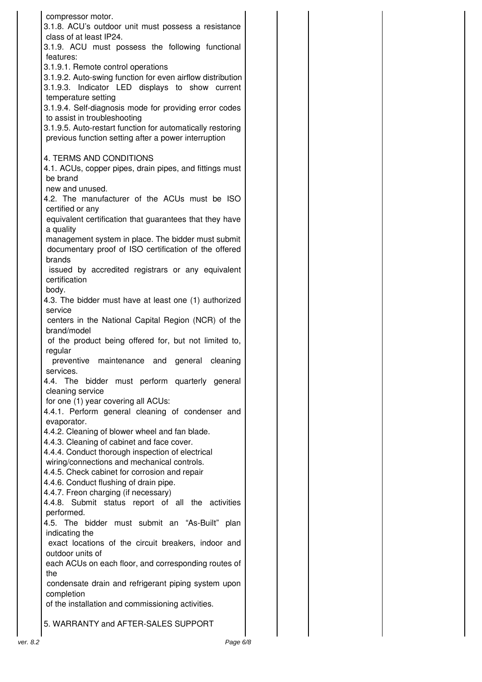| compressor motor.<br>3.1.8. ACU's outdoor unit must possess a resistance<br>class of at least IP24.                                                                                                          |  |
|--------------------------------------------------------------------------------------------------------------------------------------------------------------------------------------------------------------|--|
| 3.1.9. ACU must possess the following functional<br>features:                                                                                                                                                |  |
| 3.1.9.1. Remote control operations<br>3.1.9.2. Auto-swing function for even airflow distribution<br>3.1.9.3. Indicator LED displays to show current<br>temperature setting                                   |  |
| 3.1.9.4. Self-diagnosis mode for providing error codes<br>to assist in troubleshooting<br>3.1.9.5. Auto-restart function for automatically restoring<br>previous function setting after a power interruption |  |
| 4. TERMS AND CONDITIONS<br>4.1. ACUs, copper pipes, drain pipes, and fittings must<br>be brand                                                                                                               |  |
| new and unused.<br>4.2. The manufacturer of the ACUs must be ISO<br>certified or any                                                                                                                         |  |
| equivalent certification that guarantees that they have<br>a quality                                                                                                                                         |  |
| management system in place. The bidder must submit<br>documentary proof of ISO certification of the offered<br>brands                                                                                        |  |
| issued by accredited registrars or any equivalent<br>certification<br>body.                                                                                                                                  |  |
| 4.3. The bidder must have at least one (1) authorized<br>service                                                                                                                                             |  |
| centers in the National Capital Region (NCR) of the<br>brand/model                                                                                                                                           |  |
| of the product being offered for, but not limited to,<br>regular<br>preventive maintenance and general cleaning                                                                                              |  |
| services.                                                                                                                                                                                                    |  |
| bidder must perform quarterly general<br>4.4. The<br>cleaning service<br>for one (1) year covering all ACUs:                                                                                                 |  |
| 4.4.1. Perform general cleaning of condenser and<br>evaporator.                                                                                                                                              |  |
| 4.4.2. Cleaning of blower wheel and fan blade.<br>4.4.3. Cleaning of cabinet and face cover.                                                                                                                 |  |
| 4.4.4. Conduct thorough inspection of electrical<br>wiring/connections and mechanical controls.<br>4.4.5. Check cabinet for corrosion and repair                                                             |  |
| 4.4.6. Conduct flushing of drain pipe.<br>4.4.7. Freon charging (if necessary)                                                                                                                               |  |
| 4.4.8. Submit status report of all the activities<br>performed.<br>4.5. The bidder must submit an "As-Built" plan                                                                                            |  |
| indicating the<br>exact locations of the circuit breakers, indoor and<br>outdoor units of                                                                                                                    |  |
| each ACUs on each floor, and corresponding routes of<br>the                                                                                                                                                  |  |
| condensate drain and refrigerant piping system upon<br>completion<br>of the installation and commissioning activities.                                                                                       |  |
| 5. WARRANTY and AFTER-SALES SUPPORT                                                                                                                                                                          |  |
|                                                                                                                                                                                                              |  |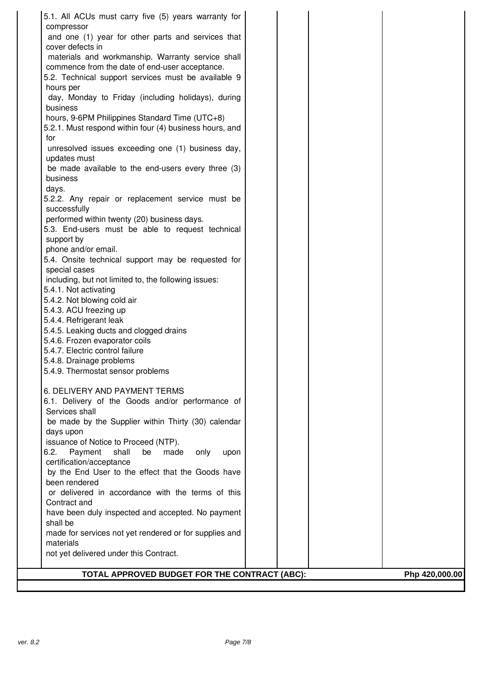| 5.1. All ACUs must carry five (5) years warranty for                               |                |
|------------------------------------------------------------------------------------|----------------|
| compressor                                                                         |                |
| and one (1) year for other parts and services that                                 |                |
| cover defects in                                                                   |                |
| materials and workmanship. Warranty service shall                                  |                |
| commence from the date of end-user acceptance.                                     |                |
| 5.2. Technical support services must be available 9                                |                |
| hours per                                                                          |                |
| day, Monday to Friday (including holidays), during<br>business                     |                |
| hours, 9-6PM Philippines Standard Time (UTC+8)                                     |                |
| 5.2.1. Must respond within four (4) business hours, and                            |                |
| for                                                                                |                |
| unresolved issues exceeding one (1) business day,                                  |                |
| updates must                                                                       |                |
| be made available to the end-users every three (3)                                 |                |
| business                                                                           |                |
| days.                                                                              |                |
| 5.2.2. Any repair or replacement service must be                                   |                |
| successfully                                                                       |                |
| performed within twenty (20) business days.                                        |                |
| 5.3. End-users must be able to request technical                                   |                |
| support by                                                                         |                |
| phone and/or email.                                                                |                |
| 5.4. Onsite technical support may be requested for                                 |                |
| special cases                                                                      |                |
| including, but not limited to, the following issues:<br>5.4.1. Not activating      |                |
| 5.4.2. Not blowing cold air                                                        |                |
| 5.4.3. ACU freezing up                                                             |                |
| 5.4.4. Refrigerant leak                                                            |                |
| 5.4.5. Leaking ducts and clogged drains                                            |                |
| 5.4.6. Frozen evaporator coils                                                     |                |
| 5.4.7. Electric control failure                                                    |                |
| 5.4.8. Drainage problems                                                           |                |
| 5.4.9. Thermostat sensor problems                                                  |                |
|                                                                                    |                |
| 6. DELIVERY AND PAYMENT TERMS                                                      |                |
| 6.1. Delivery of the Goods and/or performance of                                   |                |
| Services shall                                                                     |                |
| be made by the Supplier within Thirty (30) calendar                                |                |
| days upon                                                                          |                |
| issuance of Notice to Proceed (NTP).                                               |                |
| 6.2.<br>Payment<br>shall<br>be<br>made<br>only<br>upon<br>certification/acceptance |                |
| by the End User to the effect that the Goods have                                  |                |
| been rendered                                                                      |                |
| or delivered in accordance with the terms of this                                  |                |
| Contract and                                                                       |                |
| have been duly inspected and accepted. No payment                                  |                |
| shall be                                                                           |                |
| made for services not yet rendered or for supplies and                             |                |
| materials                                                                          |                |
| not yet delivered under this Contract.                                             |                |
|                                                                                    |                |
| TOTAL APPROVED BUDGET FOR THE CONTRACT (ABC):                                      | Php 420,000.00 |
|                                                                                    |                |